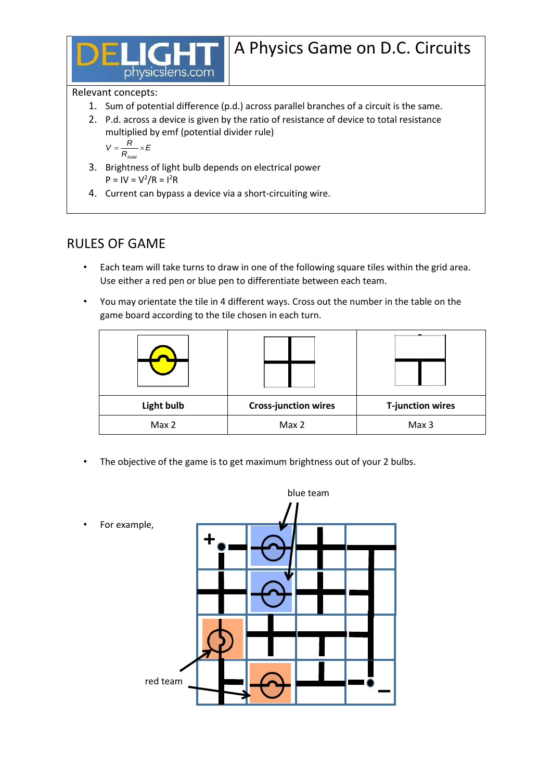

## Relevant concepts:

- 1. Sum of potential difference (p.d.) across parallel branches of a circuit is the same.
- 2. P.d. across a device is given by the ratio of resistance of device to total resistance multiplied by emf (potential divider rule)

$$
V = \frac{R}{R_{\text{total}}} \times E
$$

- 3. Brightness of light bulb depends on electrical power  $P = IV = V^2/R = I^2R$
- 4. Current can bypass a device via a short-circuiting wire.

## RULES OF GAME

- Each team will take turns to draw in one of the following square tiles within the grid area. Use either a red pen or blue pen to differentiate between each team.
- You may orientate the tile in 4 different ways. Cross out the number in the table on the game board according to the tile chosen in each turn.

| <b>Light bulb</b> | <b>Cross-junction wires</b> | <b>T-junction wires</b> |  |
|-------------------|-----------------------------|-------------------------|--|
| Max 2             | Max 2                       | Max 3                   |  |

The objective of the game is to get maximum brightness out of your 2 bulbs.